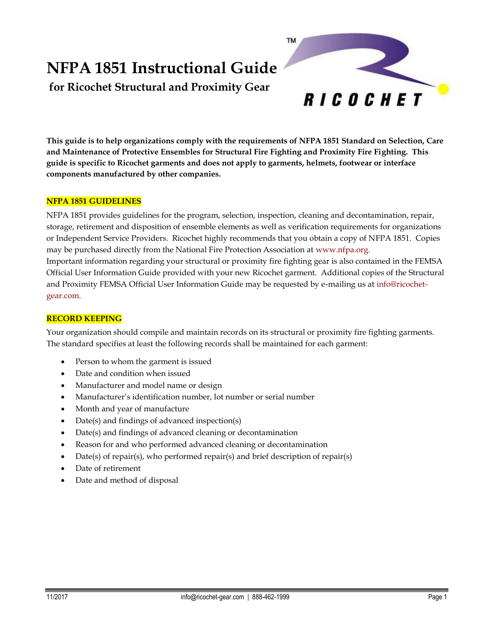# **NFPA 1851 Instructional Guide**

**for Ricochet Structural and Proximity Gear**



**This guide is to help organizations comply with the requirements of NFPA 1851 Standard on Selection, Care and Maintenance of Protective Ensembles for Structural Fire Fighting and Proximity Fire Fighting. This guide is specific to Ricochet garments and does not apply to garments, helmets, footwear or interface components manufactured by other companies.**

# **NFPA 1851 GUIDELINES**

NFPA 1851 provides guidelines for the program, selection, inspection, cleaning and decontamination, repair, storage, retirement and disposition of ensemble elements as well as verification requirements for organizations or Independent Service Providers. Ricochet highly recommends that you obtain a copy of NFPA 1851. Copies may be purchased directly from the National Fire Protection Association at www.nfpa.org. Important information regarding your structural or proximity fire fighting gear is also contained in the FEMSA Official User Information Guide provided with your new Ricochet garment. Additional copies of the Structural and Proximity FEMSA Official User Information Guide may be requested by e-mailing us at info@ricochetgear.com.

# **RECORD KEEPING**

Your organization should compile and maintain records on its structural or proximity fire fighting garments. The standard specifies at least the following records shall be maintained for each garment:

- Person to whom the garment is issued
- Date and condition when issued
- Manufacturer and model name or design
- Manufacturer's identification number, lot number or serial number
- Month and year of manufacture
- Date(s) and findings of advanced inspection(s)
- Date(s) and findings of advanced cleaning or decontamination
- Reason for and who performed advanced cleaning or decontamination
- Date(s) of repair(s), who performed repair(s) and brief description of repair(s)
- Date of retirement
- Date and method of disposal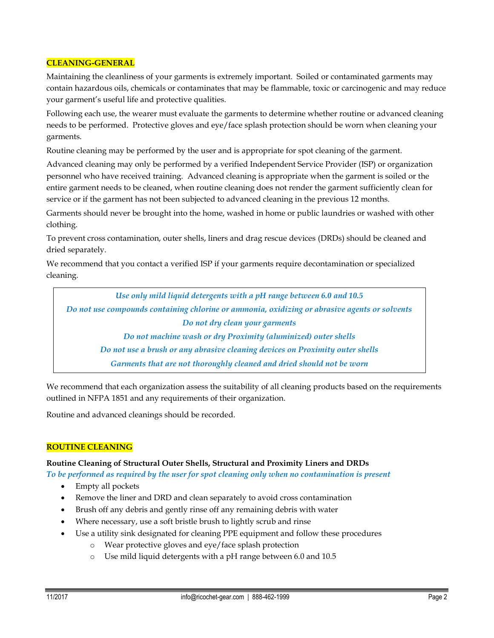## **CLEANING-GENERAL**

Maintaining the cleanliness of your garments is extremely important. Soiled or contaminated garments may contain hazardous oils, chemicals or contaminates that may be flammable, toxic or carcinogenic and may reduce your garment's useful life and protective qualities.

Following each use, the wearer must evaluate the garments to determine whether routine or advanced cleaning needs to be performed. Protective gloves and eye/face splash protection should be worn when cleaning your garments.

Routine cleaning may be performed by the user and is appropriate for spot cleaning of the garment.

Advanced cleaning may only be performed by a verified Independent Service Provider (ISP) or organization personnel who have received training. Advanced cleaning is appropriate when the garment is soiled or the entire garment needs to be cleaned, when routine cleaning does not render the garment sufficiently clean for service or if the garment has not been subjected to advanced cleaning in the previous 12 months.

Garments should never be brought into the home, washed in home or public laundries or washed with other clothing.

To prevent cross contamination, outer shells, liners and drag rescue devices (DRDs) should be cleaned and dried separately.

We recommend that you contact a verified ISP if your garments require decontamination or specialized cleaning.

*Use only mild liquid detergents with a pH range between 6.0 and 10.5 Do not use compounds containing chlorine or ammonia, oxidizing or abrasive agents or solvents Do not dry clean your garments Do not machine wash or dry Proximity (aluminized) outer shells Do not use a brush or any abrasive cleaning devices on Proximity outer shells Garments that are not thoroughly cleaned and dried should not be worn*

We recommend that each organization assess the suitability of all cleaning products based on the requirements outlined in NFPA 1851 and any requirements of their organization.

Routine and advanced cleanings should be recorded.

## **ROUTINE CLEANING**

#### **Routine Cleaning of Structural Outer Shells, Structural and Proximity Liners and DRDs**

*To be performed as required by the user for spot cleaning only when no contamination is present*

- Empty all pockets
- Remove the liner and DRD and clean separately to avoid cross contamination
- Brush off any debris and gently rinse off any remaining debris with water
- Where necessary, use a soft bristle brush to lightly scrub and rinse
- Use a utility sink designated for cleaning PPE equipment and follow these procedures
	- o Wear protective gloves and eye/face splash protection
	- o Use mild liquid detergents with a pH range between 6.0 and 10.5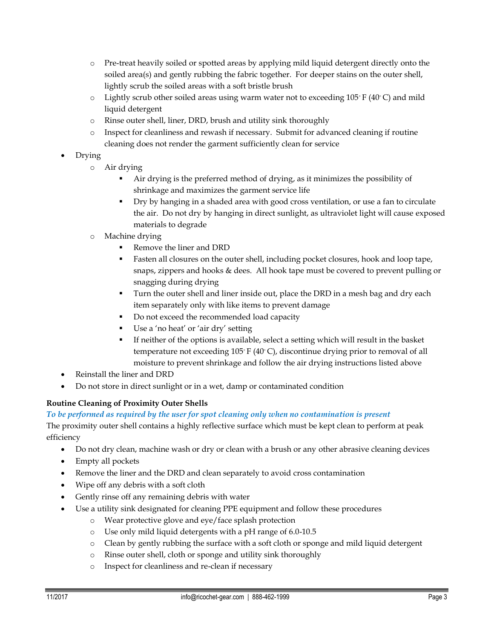- o Pre-treat heavily soiled or spotted areas by applying mild liquid detergent directly onto the soiled area(s) and gently rubbing the fabric together. For deeper stains on the outer shell, lightly scrub the soiled areas with a soft bristle brush
- o Lightly scrub other soiled areas using warm water not to exceeding 105◦ F (40◦ C) and mild liquid detergent
- o Rinse outer shell, liner, DRD, brush and utility sink thoroughly
- o Inspect for cleanliness and rewash if necessary. Submit for advanced cleaning if routine cleaning does not render the garment sufficiently clean for service
- Drying
	- o Air drying
		- Air drying is the preferred method of drying, as it minimizes the possibility of shrinkage and maximizes the garment service life
		- Dry by hanging in a shaded area with good cross ventilation, or use a fan to circulate the air. Do not dry by hanging in direct sunlight, as ultraviolet light will cause exposed materials to degrade
	- o Machine drying
		- Remove the liner and DRD
		- Fasten all closures on the outer shell, including pocket closures, hook and loop tape, snaps, zippers and hooks & dees. All hook tape must be covered to prevent pulling or snagging during drying
		- Turn the outer shell and liner inside out, place the DRD in a mesh bag and dry each item separately only with like items to prevent damage
		- Do not exceed the recommended load capacity
		- Use a 'no heat' or 'air dry' setting
		- If neither of the options is available, select a setting which will result in the basket temperature not exceeding 105◦ F (40◦ C), discontinue drying prior to removal of all moisture to prevent shrinkage and follow the air drying instructions listed above
- Reinstall the liner and DRD
- Do not store in direct sunlight or in a wet, damp or contaminated condition

# **Routine Cleaning of Proximity Outer Shells**

# *To be performed as required by the user for spot cleaning only when no contamination is present*

The proximity outer shell contains a highly reflective surface which must be kept clean to perform at peak efficiency

- Do not dry clean, machine wash or dry or clean with a brush or any other abrasive cleaning devices
- Empty all pockets
- Remove the liner and the DRD and clean separately to avoid cross contamination
- Wipe off any debris with a soft cloth
- Gently rinse off any remaining debris with water
- Use a utility sink designated for cleaning PPE equipment and follow these procedures
	- o Wear protective glove and eye/face splash protection
	- o Use only mild liquid detergents with a pH range of 6.0-10.5
	- o Clean by gently rubbing the surface with a soft cloth or sponge and mild liquid detergent
	- o Rinse outer shell, cloth or sponge and utility sink thoroughly
		- o Inspect for cleanliness and re-clean if necessary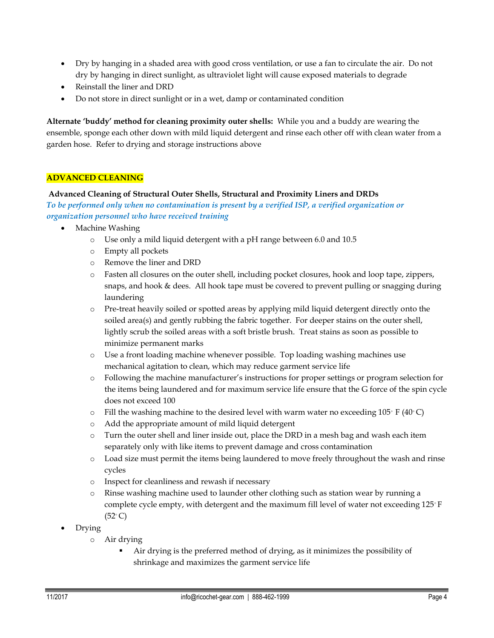- Dry by hanging in a shaded area with good cross ventilation, or use a fan to circulate the air. Do not dry by hanging in direct sunlight, as ultraviolet light will cause exposed materials to degrade
- Reinstall the liner and DRD
- Do not store in direct sunlight or in a wet, damp or contaminated condition

**Alternate 'buddy' method for cleaning proximity outer shells:** While you and a buddy are wearing the ensemble, sponge each other down with mild liquid detergent and rinse each other off with clean water from a garden hose. Refer to drying and storage instructions above

## **ADVANCED CLEANING**

## **Advanced Cleaning of Structural Outer Shells, Structural and Proximity Liners and DRDs**

*To be performed only when no contamination is present by a verified ISP, a verified organization or organization personnel who have received training*

- Machine Washing
	- o Use only a mild liquid detergent with a pH range between 6.0 and 10.5
	- o Empty all pockets
	- o Remove the liner and DRD
	- o Fasten all closures on the outer shell, including pocket closures, hook and loop tape, zippers, snaps, and hook & dees. All hook tape must be covered to prevent pulling or snagging during laundering
	- o Pre-treat heavily soiled or spotted areas by applying mild liquid detergent directly onto the soiled area(s) and gently rubbing the fabric together. For deeper stains on the outer shell, lightly scrub the soiled areas with a soft bristle brush. Treat stains as soon as possible to minimize permanent marks
	- o Use a front loading machine whenever possible. Top loading washing machines use mechanical agitation to clean, which may reduce garment service life
	- o Following the machine manufacturer's instructions for proper settings or program selection for the items being laundered and for maximum service life ensure that the G force of the spin cycle does not exceed 100
	- o Fill the washing machine to the desired level with warm water no exceeding 105◦ F (40◦ C)
	- o Add the appropriate amount of mild liquid detergent
	- $\circ$  Turn the outer shell and liner inside out, place the DRD in a mesh bag and wash each item separately only with like items to prevent damage and cross contamination
	- o Load size must permit the items being laundered to move freely throughout the wash and rinse cycles
	- o Inspect for cleanliness and rewash if necessary
	- o Rinse washing machine used to launder other clothing such as station wear by running a complete cycle empty, with detergent and the maximum fill level of water not exceeding 125° F  $(52°C)$
- Drying
	- o Air drying
		- Air drying is the preferred method of drying, as it minimizes the possibility of shrinkage and maximizes the garment service life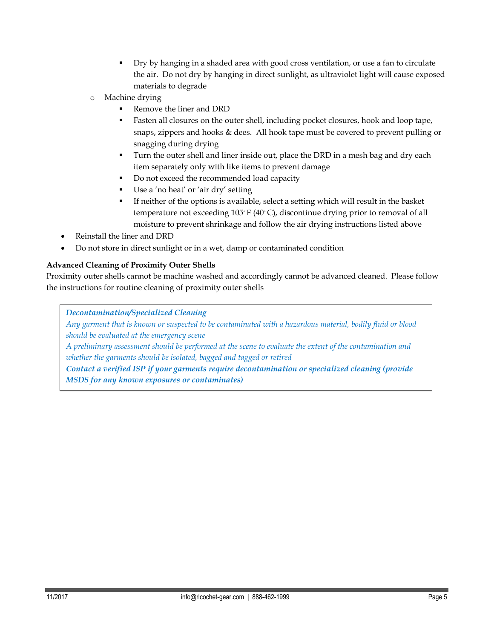- Dry by hanging in a shaded area with good cross ventilation, or use a fan to circulate the air. Do not dry by hanging in direct sunlight, as ultraviolet light will cause exposed materials to degrade
- o Machine drying
	- Remove the liner and DRD
	- Fasten all closures on the outer shell, including pocket closures, hook and loop tape, snaps, zippers and hooks & dees. All hook tape must be covered to prevent pulling or snagging during drying
	- Turn the outer shell and liner inside out, place the DRD in a mesh bag and dry each item separately only with like items to prevent damage
	- Do not exceed the recommended load capacity
	- Use a 'no heat' or 'air dry' setting
	- If neither of the options is available, select a setting which will result in the basket temperature not exceeding 105◦ F (40◦ C), discontinue drying prior to removal of all moisture to prevent shrinkage and follow the air drying instructions listed above
- Reinstall the liner and DRD
- Do not store in direct sunlight or in a wet, damp or contaminated condition

# **Advanced Cleaning of Proximity Outer Shells**

Proximity outer shells cannot be machine washed and accordingly cannot be advanced cleaned. Please follow the instructions for routine cleaning of proximity outer shells

*Decontamination/Specialized Cleaning*

*Any garment that is known or suspected to be contaminated with a hazardous material, bodily fluid or blood should be evaluated at the emergency scene*

*A preliminary assessment should be performed at the scene to evaluate the extent of the contamination and whether the garments should be isolated, bagged and tagged or retired*

*Contact a verified ISP if your garments require decontamination or specialized cleaning (provide MSDS for any known exposures or contaminates)*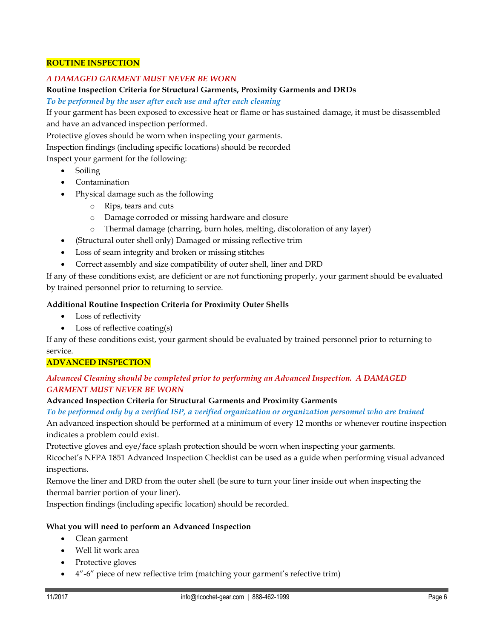#### **ROUTINE INSPECTION**

## *A DAMAGED GARMENT MUST NEVER BE WORN*

#### **Routine Inspection Criteria for Structural Garments, Proximity Garments and DRDs**

*To be performed by the user after each use and after each cleaning*

If your garment has been exposed to excessive heat or flame or has sustained damage, it must be disassembled and have an advanced inspection performed.

Protective gloves should be worn when inspecting your garments.

Inspection findings (including specific locations) should be recorded

Inspect your garment for the following:

- Soiling
- Contamination
- Physical damage such as the following
	- o Rips, tears and cuts
	- o Damage corroded or missing hardware and closure
	- o Thermal damage (charring, burn holes, melting, discoloration of any layer)
- (Structural outer shell only) Damaged or missing reflective trim
- Loss of seam integrity and broken or missing stitches
- Correct assembly and size compatibility of outer shell, liner and DRD

If any of these conditions exist, are deficient or are not functioning properly, your garment should be evaluated by trained personnel prior to returning to service.

## **Additional Routine Inspection Criteria for Proximity Outer Shells**

- Loss of reflectivity
- Loss of reflective coating(s)

If any of these conditions exist, your garment should be evaluated by trained personnel prior to returning to service.

## **ADVANCED INSPECTION**

## *Advanced Cleaning should be completed prior to performing an Advanced Inspection. A DAMAGED GARMENT MUST NEVER BE WORN*

## **Advanced Inspection Criteria for Structural Garments and Proximity Garments**

## *To be performed only by a verified ISP, a verified organization or organization personnel who are trained*

An advanced inspection should be performed at a minimum of every 12 months or whenever routine inspection indicates a problem could exist.

Protective gloves and eye/face splash protection should be worn when inspecting your garments.

Ricochet's NFPA 1851 Advanced Inspection Checklist can be used as a guide when performing visual advanced inspections.

Remove the liner and DRD from the outer shell (be sure to turn your liner inside out when inspecting the thermal barrier portion of your liner).

Inspection findings (including specific location) should be recorded.

## **What you will need to perform an Advanced Inspection**

- Clean garment
- Well lit work area
- Protective gloves
- 4"-6" piece of new reflective trim (matching your garment's refective trim)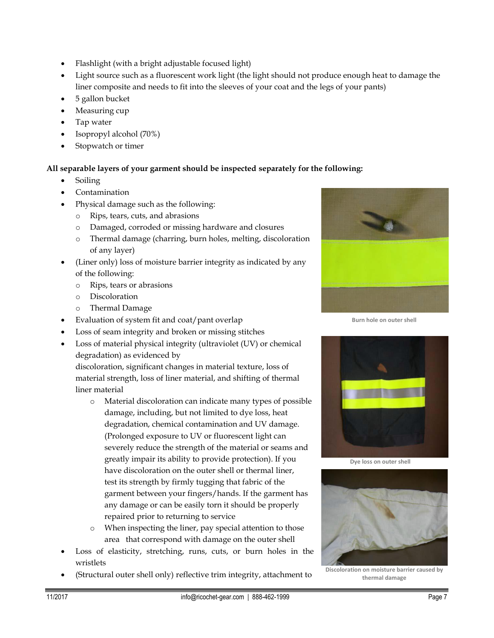- Flashlight (with a bright adjustable focused light)
- Light source such as a fluorescent work light (the light should not produce enough heat to damage the liner composite and needs to fit into the sleeves of your coat and the legs of your pants)
- 5 gallon bucket
- Measuring cup
- Tap water
- Isopropyl alcohol (70%)
- Stopwatch or timer

# **All separable layers of your garment should be inspected separately for the following:**

- Soiling
- Contamination
- Physical damage such as the following:
	- o Rips, tears, cuts, and abrasions
	- o Damaged, corroded or missing hardware and closures
	- o Thermal damage (charring, burn holes, melting, discoloration of any layer)
- (Liner only) loss of moisture barrier integrity as indicated by any of the following:
	- o Rips, tears or abrasions
	- o Discoloration
	- o Thermal Damage
- Evaluation of system fit and coat/pant overlap
- Loss of seam integrity and broken or missing stitches
- Loss of material physical integrity (ultraviolet (UV) or chemical degradation) as evidenced by

discoloration, significant changes in material texture, loss of material strength, loss of liner material, and shifting of thermal liner material

- o Material discoloration can indicate many types of possible damage, including, but not limited to dye loss, heat degradation, chemical contamination and UV damage. (Prolonged exposure to UV or fluorescent light can severely reduce the strength of the material or seams and greatly impair its ability to provide protection). If you have discoloration on the outer shell or thermal liner, test its strength by firmly tugging that fabric of the garment between your fingers/hands. If the garment has any damage or can be easily torn it should be properly repaired prior to returning to service
- o When inspecting the liner, pay special attention to those area that correspond with damage on the outer shell
- Loss of elasticity, stretching, runs, cuts, or burn holes in the wristlets
- (Structural outer shell only) reflective trim integrity, attachment to



**Burn hole on outer shell**



**Dye loss on outer shell**



**Discoloration on moisture barrier caused by thermal damage**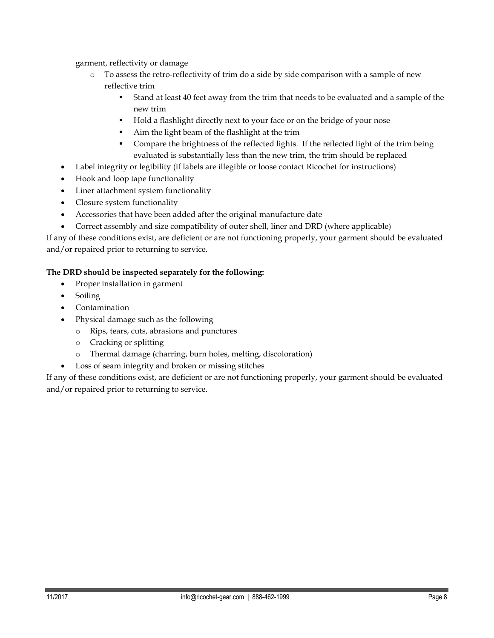garment, reflectivity or damage

- o To assess the retro-reflectivity of trim do a side by side comparison with a sample of new reflective trim
	- Stand at least 40 feet away from the trim that needs to be evaluated and a sample of the new trim
	- Hold a flashlight directly next to your face or on the bridge of your nose
	- Aim the light beam of the flashlight at the trim
	- Compare the brightness of the reflected lights. If the reflected light of the trim being evaluated is substantially less than the new trim, the trim should be replaced
- Label integrity or legibility (if labels are illegible or loose contact Ricochet for instructions)
- Hook and loop tape functionality
- Liner attachment system functionality
- Closure system functionality
- Accessories that have been added after the original manufacture date
- Correct assembly and size compatibility of outer shell, liner and DRD (where applicable)

If any of these conditions exist, are deficient or are not functioning properly, your garment should be evaluated and/or repaired prior to returning to service.

# **The DRD should be inspected separately for the following:**

- Proper installation in garment
- Soiling
- Contamination
- Physical damage such as the following
	- o Rips, tears, cuts, abrasions and punctures
	- o Cracking or splitting
	- o Thermal damage (charring, burn holes, melting, discoloration)
- Loss of seam integrity and broken or missing stitches

If any of these conditions exist, are deficient or are not functioning properly, your garment should be evaluated and/or repaired prior to returning to service.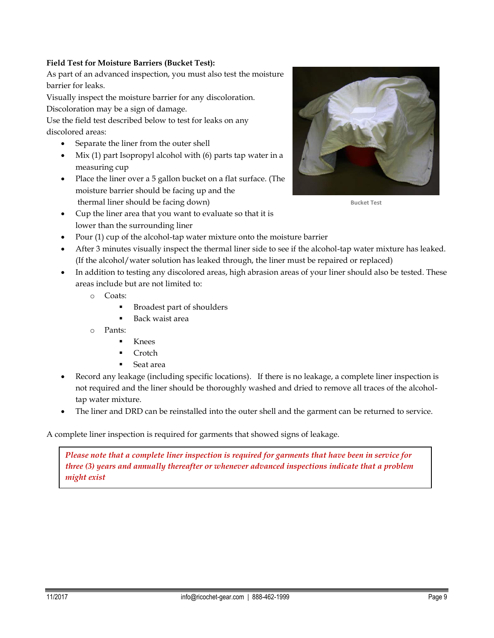# **Field Test for Moisture Barriers (Bucket Test):**

As part of an advanced inspection, you must also test the moisture barrier for leaks.

Visually inspect the moisture barrier for any discoloration.

Discoloration may be a sign of damage.

Use the field test described below to test for leaks on any discolored areas:

- Separate the liner from the outer shell
- $\bullet$  Mix (1) part Isopropyl alcohol with (6) parts tap water in a measuring cup
- Place the liner over a 5 gallon bucket on a flat surface. (The moisture barrier should be facing up and the thermal liner should be facing down)
- Cup the liner area that you want to evaluate so that it is lower than the surrounding liner



**Bucket Test**

- Pour (1) cup of the alcohol-tap water mixture onto the moisture barrier
- After 3 minutes visually inspect the thermal liner side to see if the alcohol-tap water mixture has leaked. (If the alcohol/water solution has leaked through, the liner must be repaired or replaced)
- In addition to testing any discolored areas, high abrasion areas of your liner should also be tested. These areas include but are not limited to:
	- o Coats:
		- Broadest part of shoulders
		- Back waist area
	- o Pants:
		- Knees
		- Crotch
		- Seat area
- Record any leakage (including specific locations). If there is no leakage, a complete liner inspection is not required and the liner should be thoroughly washed and dried to remove all traces of the alcoholtap water mixture.
- The liner and DRD can be reinstalled into the outer shell and the garment can be returned to service.

A complete liner inspection is required for garments that showed signs of leakage.

*Please note that a complete liner inspection is required for garments that have been in service for three (3) years and annually thereafter or whenever advanced inspections indicate that a problem might exist*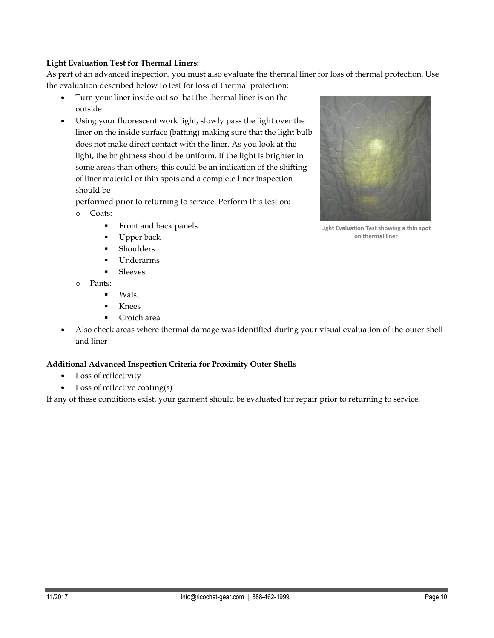## **Light Evaluation Test for Thermal Liners:**

As part of an advanced inspection, you must also evaluate the thermal liner for loss of thermal protection. Use the evaluation described below to test for loss of thermal protection:

- Turn your liner inside out so that the thermal liner is on the outside
- Using your fluorescent work light, slowly pass the light over the liner on the inside surface (batting) making sure that the light bulb does not make direct contact with the liner. As you look at the light, the brightness should be uniform. If the light is brighter in some areas than others, this could be an indication of the shifting of liner material or thin spots and a complete liner inspection should be

performed prior to returning to service. Perform this test on: o Coats:

- - **Front and back panels**
	- Upper back
	- **Shoulders**
	- Underarms
	- **Sleeves**
- o Pants:
	- **Waist**
	- **Knees**
	- Crotch area
- Also check areas where thermal damage was identified during your visual evaluation of the outer shell and liner

## **Additional Advanced Inspection Criteria for Proximity Outer Shells**

- Loss of reflectivity
- Loss of reflective coating(s)

If any of these conditions exist, your garment should be evaluated for repair prior to returning to service.



**Light Evaluation Test showing a thin spot on thermal liner**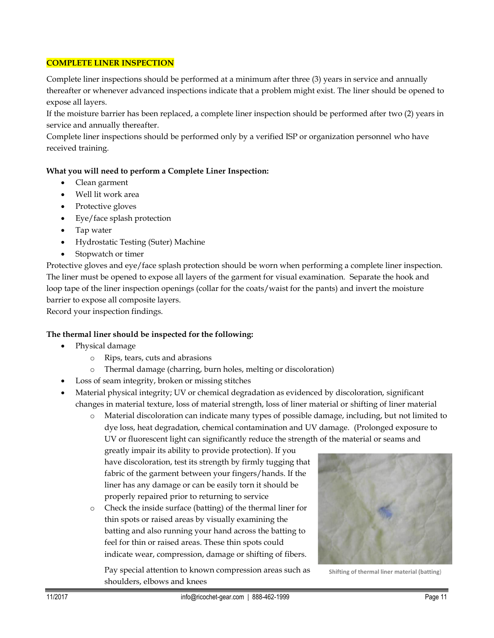## **COMPLETE LINER INSPECTION**

Complete liner inspections should be performed at a minimum after three (3) years in service and annually thereafter or whenever advanced inspections indicate that a problem might exist. The liner should be opened to expose all layers.

If the moisture barrier has been replaced, a complete liner inspection should be performed after two (2) years in service and annually thereafter.

Complete liner inspections should be performed only by a verified ISP or organization personnel who have received training.

# **What you will need to perform a Complete Liner Inspection:**

- Clean garment
- Well lit work area
- Protective gloves
- Eye/face splash protection
- Tap water
- Hydrostatic Testing (Suter) Machine
- Stopwatch or timer

Protective gloves and eye/face splash protection should be worn when performing a complete liner inspection. The liner must be opened to expose all layers of the garment for visual examination. Separate the hook and loop tape of the liner inspection openings (collar for the coats/waist for the pants) and invert the moisture barrier to expose all composite layers.

Record your inspection findings.

# **The thermal liner should be inspected for the following:**

- Physical damage
	- o Rips, tears, cuts and abrasions
	- o Thermal damage (charring, burn holes, melting or discoloration)
- Loss of seam integrity, broken or missing stitches
- Material physical integrity; UV or chemical degradation as evidenced by discoloration, significant changes in material texture, loss of material strength, loss of liner material or shifting of liner material
	- o Material discoloration can indicate many types of possible damage, including, but not limited to dye loss, heat degradation, chemical contamination and UV damage. (Prolonged exposure to UV or fluorescent light can significantly reduce the strength of the material or seams and

greatly impair its ability to provide protection). If you have discoloration, test its strength by firmly tugging that fabric of the garment between your fingers/hands. If the liner has any damage or can be easily torn it should be properly repaired prior to returning to service

o Check the inside surface (batting) of the thermal liner for thin spots or raised areas by visually examining the batting and also running your hand across the batting to feel for thin or raised areas. These thin spots could indicate wear, compression, damage or shifting of fibers.

Pay special attention to known compression areas such as shoulders, elbows and knees



**Shifting of thermal liner material (batting**)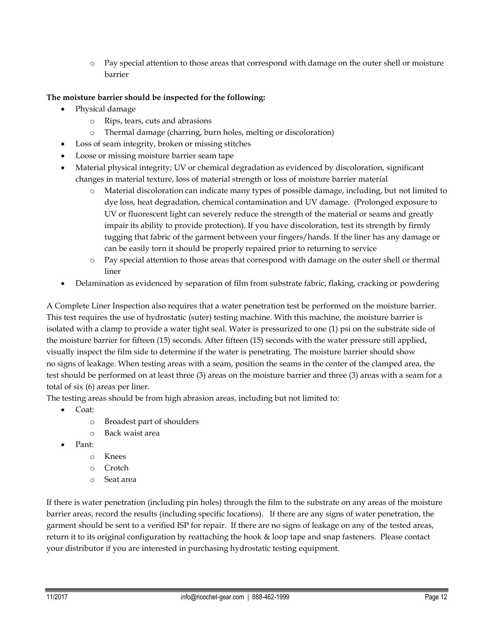o Pay special attention to those areas that correspond with damage on the outer shell or moisture barrier

# **The moisture barrier should be inspected for the following:**

- Physical damage
	- o Rips, tears, cuts and abrasions
	- o Thermal damage (charring, burn holes, melting or discoloration)
	- Loss of seam integrity, broken or missing stitches
- Loose or missing moisture barrier seam tape
- Material physical integrity; UV or chemical degradation as evidenced by discoloration, significant changes in material texture, loss of material strength or loss of moisture barrier material
	- o Material discoloration can indicate many types of possible damage, including, but not limited to dye loss, heat degradation, chemical contamination and UV damage. (Prolonged exposure to UV or fluorescent light can severely reduce the strength of the material or seams and greatly impair its ability to provide protection). If you have discoloration, test its strength by firmly tugging that fabric of the garment between your fingers/hands. If the liner has any damage or can be easily torn it should be properly repaired prior to returning to service
	- o Pay special attention to those areas that correspond with damage on the outer shell or thermal liner
- Delamination as evidenced by separation of film from substrate fabric, flaking, cracking or powdering

A Complete Liner Inspection also requires that a water penetration test be performed on the moisture barrier. This test requires the use of hydrostatic (suter) testing machine. With this machine, the moisture barrier is isolated with a clamp to provide a water tight seal. Water is pressurized to one (1) psi on the substrate side of the moisture barrier for fifteen (15) seconds. After fifteen (15) seconds with the water pressure still applied, visually inspect the film side to determine if the water is penetrating. The moisture barrier should show no signs of leakage. When testing areas with a seam, position the seams in the center of the clamped area, the test should be performed on at least three (3) areas on the moisture barrier and three (3) areas with a seam for a total of six (6) areas per liner.

The testing areas should be from high abrasion areas, including but not limited to:

- Coat:
	- o Broadest part of shoulders
	- o Back waist area
- Pant:
	- o Knees
	- o Crotch
	- o Seat area

If there is water penetration (including pin holes) through the film to the substrate on any areas of the moisture barrier areas, record the results (including specific locations). If there are any signs of water penetration, the garment should be sent to a verified ISP for repair. If there are no signs of leakage on any of the tested areas, return it to its original configuration by reattaching the hook & loop tape and snap fasteners. Please contact your distributor if you are interested in purchasing hydrostatic testing equipment.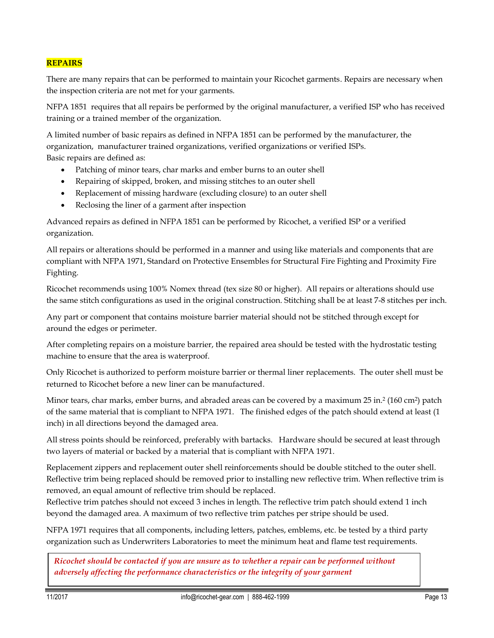## **REPAIRS**

There are many repairs that can be performed to maintain your Ricochet garments. Repairs are necessary when the inspection criteria are not met for your garments.

NFPA 1851 requires that all repairs be performed by the original manufacturer, a verified ISP who has received training or a trained member of the organization.

A limited number of basic repairs as defined in NFPA 1851 can be performed by the manufacturer, the organization, manufacturer trained organizations, verified organizations or verified ISPs. Basic repairs are defined as:

- Patching of minor tears, char marks and ember burns to an outer shell
- Repairing of skipped, broken, and missing stitches to an outer shell
- Replacement of missing hardware (excluding closure) to an outer shell
- Reclosing the liner of a garment after inspection

Advanced repairs as defined in NFPA 1851 can be performed by Ricochet, a verified ISP or a verified organization.

All repairs or alterations should be performed in a manner and using like materials and components that are compliant with NFPA 1971, Standard on Protective Ensembles for Structural Fire Fighting and Proximity Fire Fighting.

Ricochet recommends using 100% Nomex thread (tex size 80 or higher). All repairs or alterations should use the same stitch configurations as used in the original construction. Stitching shall be at least 7-8 stitches per inch.

Any part or component that contains moisture barrier material should not be stitched through except for around the edges or perimeter.

After completing repairs on a moisture barrier, the repaired area should be tested with the hydrostatic testing machine to ensure that the area is waterproof.

Only Ricochet is authorized to perform moisture barrier or thermal liner replacements. The outer shell must be returned to Ricochet before a new liner can be manufactured.

Minor tears, char marks, ember burns, and abraded areas can be covered by a maximum 25 in.<sup>2</sup> (160 cm<sup>2</sup> ) patch of the same material that is compliant to NFPA 1971. The finished edges of the patch should extend at least (1 inch) in all directions beyond the damaged area.

All stress points should be reinforced, preferably with bartacks. Hardware should be secured at least through two layers of material or backed by a material that is compliant with NFPA 1971.

Replacement zippers and replacement outer shell reinforcements should be double stitched to the outer shell. Reflective trim being replaced should be removed prior to installing new reflective trim. When reflective trim is removed, an equal amount of reflective trim should be replaced.

Reflective trim patches should not exceed 3 inches in length. The reflective trim patch should extend 1 inch beyond the damaged area. A maximum of two reflective trim patches per stripe should be used.

NFPA 1971 requires that all components, including letters, patches, emblems, etc. be tested by a third party organization such as Underwriters Laboratories to meet the minimum heat and flame test requirements.

*Ricochet should be contacted if you are unsure as to whether a repair can be performed without adversely affecting the performance characteristics or the integrity of your garment*